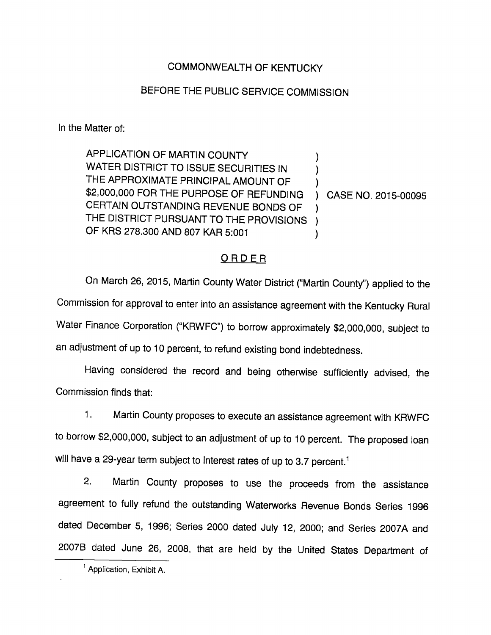## COMMONWEALTH OF KENTUCKY

## BEFORE THE PUBLIC SERVICE COMMISSION

In the Matter of:

APPLICATION OF MARTIN COUNTY  $\lambda$ WATER DISTRICT TO ISSUE SECURITIES IN  $\mathcal{E}$ THE APPROXIMATE PRINCIPAL AMOUNT OF ) \$2,000,000 FOR THE PURPOSE OF REFUNDING CASE NO. 2015-00095 $\mathcal{L}$ CERTAIN OUTSTANDING REVENUE BONDS OF  $\mathcal{E}$ THE DISTRICT PURSUANT TO THE PROVISIONS ) OF KRS 278.300 AND 807 KAR 5:001  $\mathcal{E}$ 

## ORDER

On March 26, 2015, Martin County Water District ("Martin County") applied to the Commission for approval to enter into an assistance agreement with the Kentucky Rural Water Finance Corporation ("KRWFC") to borrow approximately \$2,000,000, subject to an adjustment of up to 10 percent, to refund existing bond indebtedness.

Having considered the record and being otherwise sufficiently advised, the Commission finds that:

1. Martin County proposes to execute an assistance agreement with KRWFC to borrow \$2,000,000, subject to an adjustment of up to 10 percent. The proposed loan will have a 29-year term subject to interest rates of up to 3.7 percent.<sup>1</sup>

2. Martin County proposes to use the proceeds from the assistance agreement to fully refund the outstanding Waterworks Revenue Bonds Series 1996 dated December 5, 1996; Series 2000 dated July 12, 2000; and Series 2007A and 2007B dated June 26, 2008, that are held by the United States Department of

 $<sup>1</sup>$  Application, Exhibit A.</sup>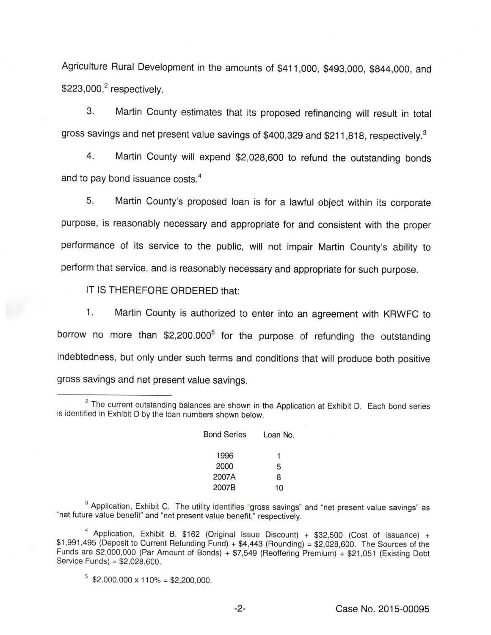Agriculture Rural Development in the amounts of \$411,000, \$493,000, \$844,000, and  $$223,000<sup>2</sup>$  respectively.

3. Martin County estimates that its proposed refinancing will result in total gross savings and net present value savings of \$400,329 and \$211,818, respectively.<sup>3</sup>

4. Martin County will expend \$2,028,600 to refund the outstanding bonds and to pay bond issuance costs.<sup>4</sup>

5. Martin County's proposed loan is for a lawful object within its corporate purpose, is reasonably necessary and appropriate for and consistent with the proper performance of its service to the public, will not impair Martin County's ability to perform that service, and is reasonably necessary and appropriate for such purpose.

IT IS THEREFORE ORDERED that:

1. Martin County is authorized to enter into an agreement with KRWFC to borrow no more than  $$2,200,000^5$  for the purpose of refunding the outstanding indebtedness, but only under such terms and conditions that will produce both positive gross savings and net present value savings.

 $2$  The current outstanding balances are shown in the Application at Exhibit D. Each bond series is identified in Exhibit D by the loan numbers shown below.

| <b>Bond Series</b> | Loan No. |
|--------------------|----------|
| 1996               | 1        |
| 2000               | 5        |
| 2007A              | 8        |
| 2007B              | 10       |

 $^3$  Application, Exhibit C. The utility identifies "gross savings" and "net present value savings" as "net future value benefit" and "net present value benefit," respectively.

Application, Exhibit B. \$162 (Original Issue Discount) + \$32,500 (Cost of Issuance) + \$1,991,495 (Deposit to Current Refunding Fund) + \$4,443 (Rounding) =\$2,028,600. The Sources of the Funds are \$2,000,000 (Par Amount of Bonds) + \$7,549 (Reoffering Premium) + \$21,051 (Existing Debt Service Funds) = \$2,028,600.

 $5$  \$2,000,000 x 110% = \$2,200,000.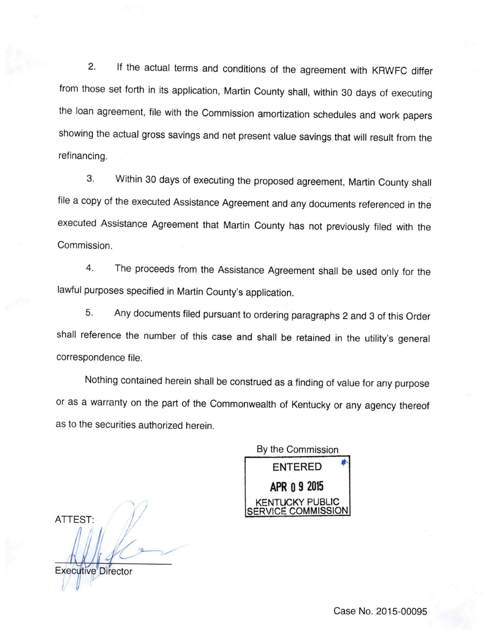2. If the actual terms and conditions of the agreement with KRWFC differ from those set forth in its application, Martin County shall, within 30 days of executing the loan agreement, file with the Commission amortization schedules and work papers showing the actual gross savings and net present value savings that will result from the refinancing.

3. Within 30 days of executing the proposed agreement, Martin County shall file a copy of the executed Assistance Agreement and any documents referenced in the executed Assistance Agreement that Martin County has not previously filed with the Commission.

4. The proceeds from the Assistance Agreement shall be used only for the lawful purposes specified in Martin County's application.

5. Any documents filed pursuant to ordering paragraphs 2 and 3 of this Order shall reference the number of this case and shall be retained in the utility's general correspondence file.

Nothing contained herein shall be construed as a finding of value for any purpose or as a warranty on the part of the Commonwealth of Kentucky or any agency thereof as to the securities authorized herein.

By the Commission ENTERED APR 0 9 2015 **ICKY PUBLIC** SERVICE COMMISSION

ATTEST: Executive Director

Case No. 2015-00095